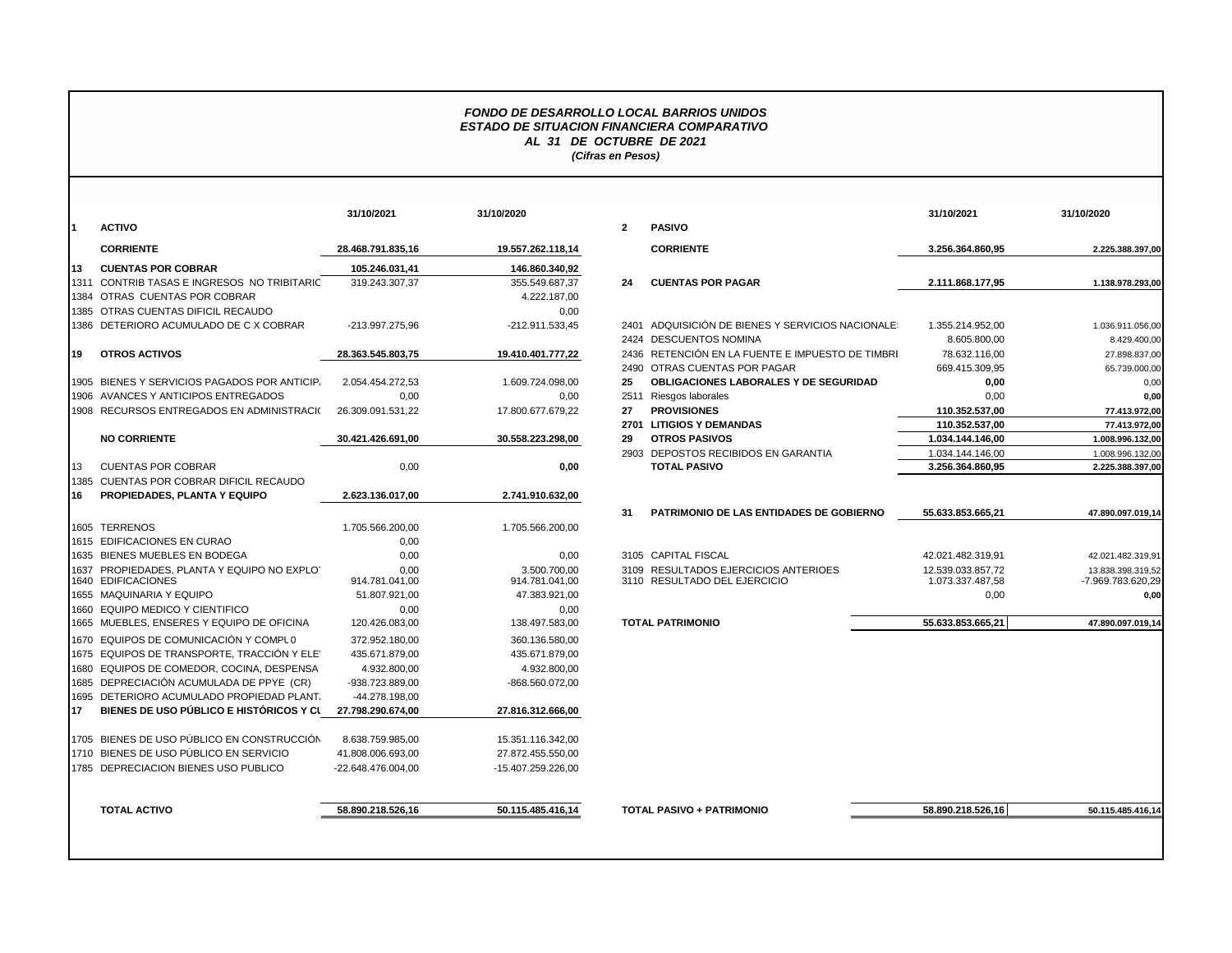## *FONDO DE DESARROLLO LOCAL BARRIOS UNIDOS ESTADO DE SITUACION FINANCIERA COMPARATIVO AL 31 DE OCTUBRE DE 2021 (Cifras en Pesos)*

| I1<br>113<br>119 | <b>ACTIVO</b><br><b>CORRIENTE</b><br><b>CUENTAS POR COBRAR</b> | 28.468.791.835,16  |                    | $\overline{2}$ | <b>PASIVO</b>                                    |                   |                   |
|------------------|----------------------------------------------------------------|--------------------|--------------------|----------------|--------------------------------------------------|-------------------|-------------------|
|                  |                                                                |                    |                    |                |                                                  |                   |                   |
|                  |                                                                |                    | 19.557.262.118,14  |                | <b>CORRIENTE</b>                                 | 3.256.364.860,95  | 2.225.388.397,00  |
|                  |                                                                | 105.246.031.41     | 146.860.340.92     |                |                                                  |                   |                   |
|                  | 1311 CONTRIB TASAS E INGRESOS NO TRIBITARIC                    | 319.243.307,37     | 355.549.687,37     | 24             | <b>CUENTAS POR PAGAR</b>                         | 2.111.868.177,95  | 1.138.978.293,00  |
|                  | 1384 OTRAS CUENTAS POR COBRAR                                  |                    | 4.222.187,00       |                |                                                  |                   |                   |
|                  | 1385 OTRAS CUENTAS DIFICIL RECAUDO                             |                    | 0,00               |                |                                                  |                   |                   |
|                  | 1386 DETERIORO ACUMULADO DE C X COBRAR                         | -213.997.275,96    | -212.911.533,45    |                | 2401 ADQUISICIÓN DE BIENES Y SERVICIOS NACIONALE | 1.355.214.952,00  | 1.036.911.056,00  |
|                  |                                                                |                    |                    |                | 2424 DESCUENTOS NOMINA                           | 8.605.800,00      | 8.429.400,00      |
|                  | <b>OTROS ACTIVOS</b>                                           | 28.363.545.803,75  | 19.410.401.777,22  |                | 2436 RETENCIÓN EN LA FUENTE E IMPUESTO DE TIMBRI | 78.632.116,00     | 27.898.837,00     |
|                  |                                                                |                    |                    |                | 2490 OTRAS CUENTAS POR PAGAR                     | 669.415.309,95    | 65.739.000,00     |
|                  | 1905 BIENES Y SERVICIOS PAGADOS POR ANTICIP.                   | 2.054.454.272,53   | 1.609.724.098,00   | 25             | OBLIGACIONES LABORALES Y DE SEGURIDAD            | 0,00              | 0,00              |
|                  | 1906 AVANCES Y ANTICIPOS ENTREGADOS                            | 0,00               | 0.00               |                | 2511 Riesgos laborales                           | 0,00              | 0,00              |
|                  | 1908 RECURSOS ENTREGADOS EN ADMINISTRACIO                      | 26.309.091.531,22  | 17.800.677.679,22  | 27             | <b>PROVISIONES</b>                               | 110.352.537,00    | 77.413.972,00     |
|                  |                                                                |                    |                    |                | 2701 LITIGIOS Y DEMANDAS                         | 110.352.537,00    | 77.413.972,00     |
|                  | <b>NO CORRIENTE</b>                                            | 30.421.426.691,00  | 30.558.223.298,00  | 29             | <b>OTROS PASIVOS</b>                             | 1.034.144.146,00  | 1.008.996.132,00  |
|                  |                                                                |                    |                    |                | 2903 DEPOSTOS RECIBIDOS EN GARANTIA              | 1.034.144.146,00  | 1.008.996.132,00  |
| 13               | <b>CUENTAS POR COBRAR</b>                                      | 0,00               | 0,00               |                | <b>TOTAL PASIVO</b>                              | 3.256.364.860,95  | 2.225.388.397,00  |
|                  | 1385 CUENTAS POR COBRAR DIFICIL RECAUDO                        |                    |                    |                |                                                  |                   |                   |
| 16               | PROPIEDADES, PLANTA Y EQUIPO                                   | 2.623.136.017.00   | 2.741.910.632,00   |                |                                                  |                   |                   |
|                  |                                                                |                    |                    | 31             | <b>PATRIMONIO DE LAS ENTIDADES DE GOBIERNO</b>   | 55.633.853.665.21 | 47.890.097.019,14 |
|                  | 1605 TERRENOS                                                  | 1.705.566.200,00   | 1.705.566.200,00   |                |                                                  |                   |                   |
|                  | 1615 EDIFICACIONES EN CURAO                                    | 0,00               |                    |                |                                                  |                   |                   |
|                  | 1635 BIENES MUEBLES EN BODEGA                                  | 0,00               | 0,00               |                | 3105 CAPITAL FISCAL                              | 42.021.482.319,91 | 42.021.482.319,91 |
|                  | 1637 PROPIEDADES, PLANTA Y EQUIPO NO EXPLOT                    | 0.00               | 3.500.700.00       |                | 3109 RESULTADOS EJERCICIOS ANTERIOES             | 12.539.033.857.72 | 13.838.398.319.52 |
|                  | 1640 EDIFICACIONES                                             | 914.781.041,00     | 914.781.041,00     |                | 3110 RESULTADO DEL EJERCICIO                     | 1.073.337.487,58  | -7.969.783.620.29 |
|                  | 1655 MAQUINARIA Y EQUIPO                                       | 51.807.921,00      | 47.383.921,00      |                |                                                  | 0,00              | 0.00              |
|                  | 1660 EQUIPO MEDICO Y CIENTIFICO                                | 0,00               | 0,00               |                |                                                  |                   |                   |
|                  | 1665 MUEBLES, ENSERES Y EQUIPO DE OFICINA                      | 120.426.083,00     | 138.497.583,00     |                | <b>TOTAL PATRIMONIO</b>                          | 55.633.853.665.21 | 47.890.097.019.14 |
|                  | 1670 EQUIPOS DE COMUNICACIÓN Y COMPLO                          | 372.952.180.00     | 360.136.580.00     |                |                                                  |                   |                   |
|                  | 1675 EQUIPOS DE TRANSPORTE. TRACCIÓN Y ELET                    | 435.671.879,00     | 435.671.879.00     |                |                                                  |                   |                   |
|                  | 1680 EQUIPOS DE COMEDOR, COCINA, DESPENSA                      | 4.932.800,00       | 4.932.800,00       |                |                                                  |                   |                   |
|                  | 1685 DEPRECIACIÓN ACUMULADA DE PPYE (CR)                       | -938.723.889,00    | -868.560.072,00    |                |                                                  |                   |                   |
|                  | 1695 DETERIORO ACUMULADO PROPIEDAD PLANT.                      | -44.278.198.00     |                    |                |                                                  |                   |                   |
| 117              | BIENES DE USO PÚBLICO E HISTÓRICOS Y CL                        | 27.798.290.674,00  | 27.816.312.666,00  |                |                                                  |                   |                   |
|                  | 1705 BIENES DE USO PÚBLICO EN CONSTRUCCIÓN                     | 8.638.759.985.00   | 15.351.116.342,00  |                |                                                  |                   |                   |
|                  | 1710 BIENES DE USO PÚBLICO EN SERVICIO                         | 41.808.006.693,00  | 27.872.455.550,00  |                |                                                  |                   |                   |
|                  | 1785 DEPRECIACION BIENES USO PUBLICO                           | -22.648.476.004,00 | -15.407.259.226,00 |                |                                                  |                   |                   |
|                  |                                                                |                    |                    |                |                                                  |                   |                   |
|                  | <b>TOTAL ACTIVO</b>                                            | 58.890.218.526,16  | 50.115.485.416,14  |                | <b>TOTAL PASIVO + PATRIMONIO</b>                 | 58.890.218.526,16 | 50.115.485.416,14 |
|                  |                                                                |                    |                    |                |                                                  |                   |                   |

|                                         | 31/10/2021         | 31/10/2020         |                |                                                  | 31/10/2021        | 31/10/2020        |
|-----------------------------------------|--------------------|--------------------|----------------|--------------------------------------------------|-------------------|-------------------|
| ACTIVO                                  |                    |                    | $\overline{2}$ | <b>PASIVO</b>                                    |                   |                   |
| <b>CORRIENTE</b>                        | 28.468.791.835,16  | 19.557.262.118,14  |                | <b>CORRIENTE</b>                                 | 3.256.364.860,95  | 2.225.388.397,00  |
| <b>CUENTAS POR COBRAR</b>               | 105.246.031.41     | 146.860.340.92     |                |                                                  |                   |                   |
| CONTRIB TASAS E INGRESOS NO TRIBITARIC  | 319.243.307.37     | 355.549.687.37     | 24             | <b>CUENTAS POR PAGAR</b>                         | 2.111.868.177.95  | 1.138.978.293.00  |
| OTRAS CUENTAS POR COBRAR                |                    | 4.222.187.00       |                |                                                  |                   |                   |
| OTRAS CUENTAS DIFICIL RECAUDO           |                    | 0,00               |                |                                                  |                   |                   |
| DETERIORO ACUMULADO DE C X COBRAR       | -213.997.275.96    | -212.911.533,45    |                | 2401 ADQUISICIÓN DE BIENES Y SERVICIOS NACIONALE | 1.355.214.952.00  | 1.036.911.056,00  |
|                                         |                    |                    |                | 2424 DESCUENTOS NOMINA                           | 8.605.800.00      | 8.429.400,00      |
| <b>OTROS ACTIVOS</b>                    | 28.363.545.803,75  | 19.410.401.777.22  | 2436           | RETENCIÓN EN LA FUENTE E IMPUESTO DE TIMBRI      | 78.632.116,00     | 27.898.837,00     |
|                                         |                    |                    |                | 2490 OTRAS CUENTAS POR PAGAR                     | 669.415.309.95    | 65.739.000,00     |
| BIENES Y SERVICIOS PAGADOS POR ANTICIP. | 2.054.454.272.53   | 1.609.724.098.00   | 25             | <b>OBLIGACIONES LABORALES Y DE SEGURIDAD</b>     | 0,00              | 0,00              |
| AVANCES Y ANTICIPOS ENTREGADOS          | 0,00               | 0,00               |                | 2511 Riesgos laborales                           | 0,00              | 0,00              |
| RECURSOS ENTREGADOS EN ADMINISTRACI(    | 26.309.091.531.22  | 17.800.677.679.22  | 27             | <b>PROVISIONES</b>                               | 110.352.537,00    | 77.413.972,00     |
|                                         |                    |                    |                | 2701 LITIGIOS Y DEMANDAS                         | 110.352.537.00    | 77.413.972,00     |
| <b>NO CORRIENTE</b>                     | 30.421.426.691.00  | 30.558.223.298,00  | 29             | <b>OTROS PASIVOS</b>                             | 1.034.144.146.00  | 1.008.996.132,00  |
|                                         |                    |                    |                | 2903 DEPOSTOS RECIBIDOS EN GARANTIA              | 1.034.144.146,00  | 1.008.996.132,00  |
| CUENTAS POR COBRAR                      | 0,00               | 0,00               |                | <b>TOTAL PASIVO</b>                              | 3.256.364.860,95  | 2.225.388.397,00  |
| CUENTAS POR COBRAR DIFICIL RECAUDO      |                    |                    |                |                                                  |                   |                   |
| PROPIEDADES, PLANTA Y EQUIPO            | 2.623.136.017.00   | 2.741.910.632,00   |                |                                                  |                   |                   |
|                                         |                    |                    | 31             | PATRIMONIO DE LAS ENTIDADES DE GOBIERNO          | 55.633.853.665,21 | 47.890.097.019,14 |
| <b>TERRENOS</b>                         | 1.705.566.200,00   | 1.705.566.200,00   |                |                                                  |                   |                   |
| EDIFICACIONES EN CURAO                  | 0,00               |                    |                |                                                  |                   |                   |
| BIENES MUEBLES EN BODEGA                | 0,00               | 0,00               |                | 3105 CAPITAL FISCAL                              | 42.021.482.319,91 | 42.021.482.319,91 |
| PROPIEDADES, PLANTA Y EQUIPO NO EXPLOT  | 0,00               | 3.500.700.00       |                | 3109 RESULTADOS EJERCICIOS ANTERIOES             | 12.539.033.857.72 | 13.838.398.319,52 |
| <b>EDIFICACIONES</b>                    | 914.781.041,00     | 914.781.041,00     |                | 3110 RESULTADO DEL EJERCICIO                     | 1.073.337.487,58  | -7.969.783.620,29 |
| MAQUINARIA Y EQUIPO                     | 51.807.921,00      | 47.383.921.00      |                |                                                  | 0,00              | 0,00              |
| EQUIPO MEDICO Y CIENTIFICO              | 0,00               | 0,00               |                |                                                  |                   |                   |
| MUEBLES, ENSERES Y EQUIPO DE OFICINA    | 120.426.083,00     | 138.497.583.00     |                | <b>TOTAL PATRIMONIO</b>                          | 55.633.853.665.21 | 47.890.097.019.14 |
| EQUIPOS DE COMUNICACIÓN Y COMPLO        | 372.952.180,00     | 360.136.580.00     |                |                                                  |                   |                   |
| EQUIPOS DE TRANSPORTE, TRACCIÓN Y ELE'  | 435.671.879,00     | 435.671.879,00     |                |                                                  |                   |                   |
| EQUIPOS DE COMEDOR, COCINA, DESPENSA    | 4.932.800,00       | 4.932.800,00       |                |                                                  |                   |                   |
| DEPRECIACIÓN ACUMULADA DE PPYE (CR)     | -938.723.889,00    | -868.560.072,00    |                |                                                  |                   |                   |
| DETERIORO ACUMULADO PROPIEDAD PLANT.    | -44.278.198,00     |                    |                |                                                  |                   |                   |
| BIENES DE USO PÚBLICO E HISTÓRICOS Y CI | 27.798.290.674.00  | 27.816.312.666,00  |                |                                                  |                   |                   |
|                                         |                    |                    |                |                                                  |                   |                   |
| BIENES DE USO PÚBLICO EN CONSTRUCCIÓN   | 8.638.759.985,00   | 15.351.116.342,00  |                |                                                  |                   |                   |
| BIENES DE USO PÚBLICO EN SERVICIO       | 41.808.006.693,00  | 27.872.455.550,00  |                |                                                  |                   |                   |
| DEPRECIACION BIENES USO PUBLICO         | -22.648.476.004,00 | -15.407.259.226,00 |                |                                                  |                   |                   |
|                                         |                    |                    |                |                                                  |                   |                   |
| <b>TOTAL ACTIVO</b>                     | 58.890.218.526,16  | 50.115.485.416,14  |                | TOTAL PASIVO + PATRIMONIO                        | 58.890.218.526,16 | 50.115.485.416,14 |
|                                         |                    |                    |                |                                                  |                   |                   |